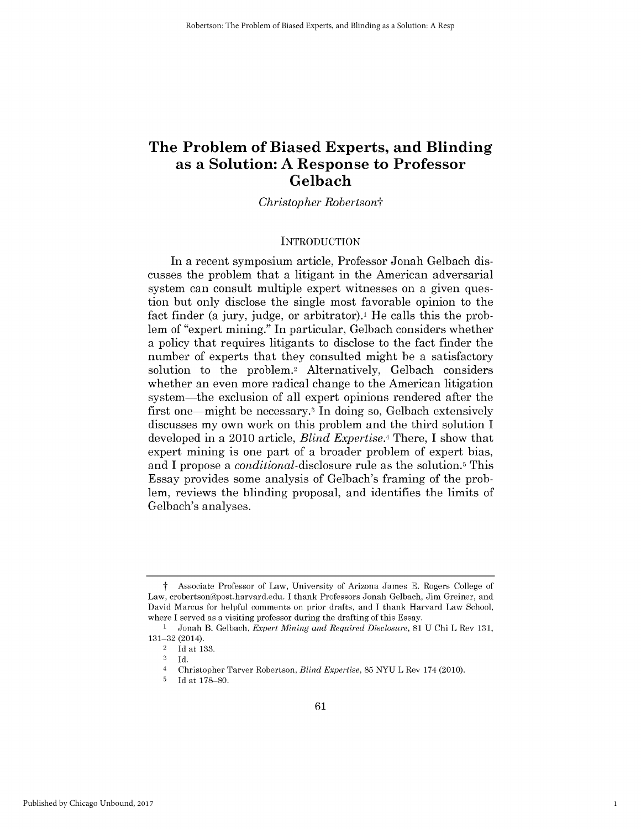# **The Problem of Biased Experts, and Blinding as a Solution: A Response to Professor Gelbach**

*Christopher Robertsont*

#### **INTRODUCTION**

In *a* recent symposium article, Professor Jonah Gelbach **dis**cusses the problem that a litigant in the American adversarial system can consult multiple expert witnesses on a given question but only disclose the single most favorable opinion to the fact finder (a jury, judge, or arbitrator).<sup>1</sup> He calls this the problem of "expert mining." In particular, Gelbach considers whether a policy that requires litigants to disclose to the fact finder the number of experts that they consulted might be a satisfactory solution to the problem.2 Alternatively, Gelbach considers whether an even more radical change to the American litigation system-the exclusion of all expert opinions rendered after the first one—might be necessary.<sup>3</sup> In doing so, Gelbach extensively discusses my own work on this problem and the third solution **I** developed in a 2010 article, *Blind Expertise.4 There,* **I** show that expert mining is one part of a broader problem of expert bias, and **I** propose a *conditional-disclosure* rule as the solution.5 This Essay provides some analysis of Gelbach's framing of the problem, reviews the blinding proposal, and identifies the limits of Gelbach's analyses.

1

**f** Associate Professor of Law, University of Arizona James **E.** Rogers College of Law, crobertson@post.harvard.edu. **I** thank Professors Jonah Gelbach, Jim Greiner, and David Marcus for helpful comments on prior drafts, and **I** thank Harvard Law School, where **I** served as a visiting professor during the drafting of this Essay.

**I** Jonah B. Gelbach, *Expert Mining and Required Disclosure, 81* **U** Chi L Rev **131, 131-32** (2014).

<sup>2</sup>**Id** at **133.**

**<sup>3</sup> Id.**

<sup>4</sup> Christopher Tarver Robertson, *Blind Expertise,* **85 NYU** L Rev 174 (2010).

**<sup>5</sup> Id** at **178-80.**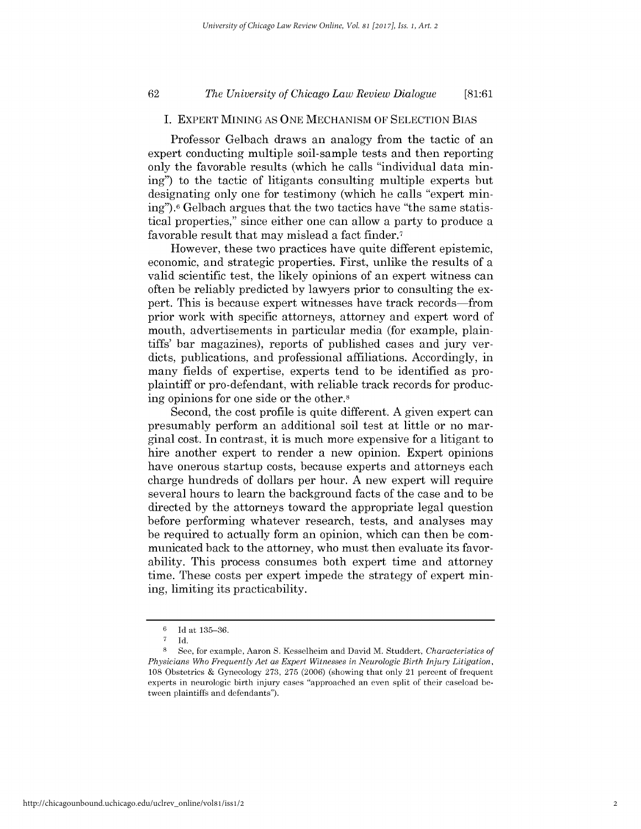## *The University of Chicago Law Review Dialogue* **62 [81:61**

## **I.** EXPERT **MINING AS ONE MECHANISM** OF **SELECTION BIAS**

Professor Gelbach draws an analogy from the tactic of an expert conducting multiple soil-sample tests and then reporting only the favorable results (which he calls "individual data mining") to the tactic of litigants consulting multiple experts but designating only one for testimony (which he calls "expert mining").6 Gelbach argues that the two tactics have "the same statistical properties," since either one can allow a party to produce a favorable result that may mislead a fact finder.7

However, these two practices have quite different epistemic, economic, and strategic properties. First, unlike the results of a valid scientific test, the likely opinions of an expert witness can often be reliably predicted **by** lawyers prior to consulting the expert. This is because expert witnesses have track records-from prior work with specific attorneys, attorney and expert word of mouth, advertisements in particular media (for example, plaintiffs' bar magazines), reports of published cases and jury verdicts, publications, and professional affiliations. Accordingly, in many fields of expertise, experts tend to be identified as proplaintiff or pro-defendant, with reliable track records for producing opinions for one side or the other.8

Second, the cost profile is quite different. **A** given expert can presumably perform an additional soil test at little or no marginal cost. In contrast, it is much more expensive for a litigant to hire another expert to render a new opinion. Expert opinions have onerous startup costs, because experts and attorneys each charge hundreds of dollars per hour. **A** new expert will require several hours to learn the background facts of the case and to be directed **by** the attorneys toward the appropriate legal question before performing whatever research, tests, and analyses may be required to actually form an opinion, which can then be communicated back to the attorney, who must then evaluate its favorability. This process consumes both expert time and attorney time. These costs per expert impede the strategy of expert mining, limiting its practicability.

**<sup>6</sup> Id** at **135-36.**

**<sup>7</sup> Id.**

**<sup>8</sup>**See, for example, Aaron **S.** Kesselheim and David M. Studdert, *Characteristics of Physicians Who Frequently Act as Expert Witnesses in Neurologic Birth Injury Litigation,* **108** Obstetrics **&** Gynecology **273, 275 (2006)** (showing that only 21 percent of frequent experts in neurologic birth injury cases "approached an even split of their caseload between plaintiffs and defendants").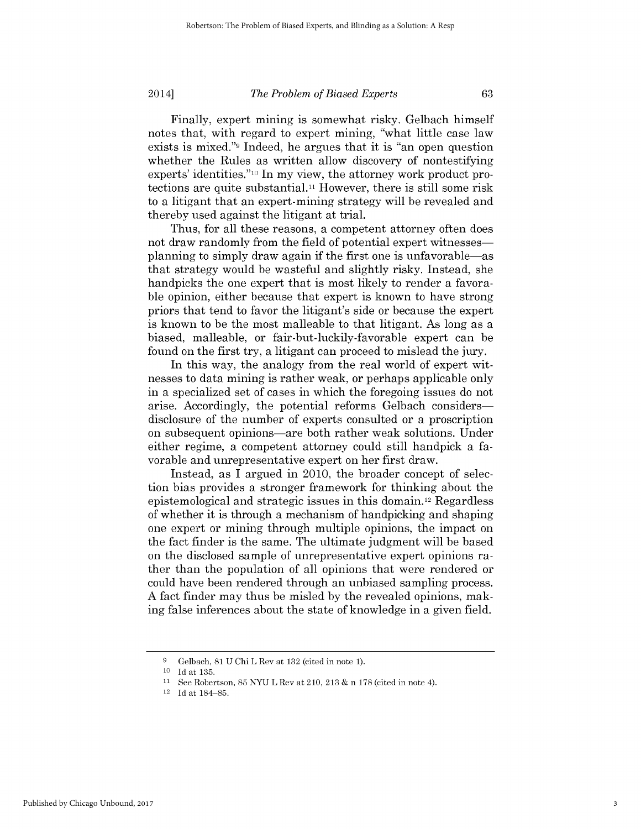Finally, expert mining is somewhat risky. Gelbach himself notes that, with regard to expert mining, "what little case law exists is mixed."9 Indeed, he argues that it is "an open question whether the Rules as written allow discovery of nontestifying experts' identities."1o In my view, the attorney work product protections are quite substantial." However, there is still some risk to a litigant that an expert-mining strategy will be revealed and thereby used against the litigant at trial.

Thus, for all these reasons, a competent attorney often does not draw randomly from the field of potential expert witnessesplanning to simply draw again **if** the first one is unfavorable-as that strategy would be wasteful and slightly risky. Instead, she handpicks the one expert that is most likely to render a favorable opinion, either because that expert is known to have strong priors that tend to favor the litigant's side or because the expert is known to be the most malleable to that litigant. As long as a biased, malleable, or fair-but-luckily-favorable expert can be found on the first try, a litigant can proceed to mislead the jury.

In this way, the analogy from the real world of expert witnesses to data mining is rather weak, or perhaps applicable only in a specialized set of cases in which the foregoing issues do not arise. Accordingly, the potential reforms Gelbach considersdisclosure of the number of experts consulted or a proscription on subsequent opinions-are both rather weak solutions. Under either regime, a competent attorney could still handpick a favorable and unrepresentative expert on her first draw.

Instead, as **I** argued in 2010, the broader concept of selection bias provides a stronger framework for thinking about the epistemological and strategic issues in this domain.12 Regardless of whether it is through a mechanism of handpicking and shaping one expert or mining through multiple opinions, the impact on the fact finder is the same. The ultimate judgment will be based on the disclosed sample of unrepresentative expert opinions rather than the population of all opinions that were rendered or could have been rendered through an unbiased sampling process. **A** fact finder may thus be misled **by** the revealed opinions, making false inferences about the state of knowledge in a given field.

**<sup>9</sup>** Gelbach, **81 U** Chi L Rev at **132** (cited in note **1).**

**<sup>10</sup> Id** at **135.**

**<sup>11</sup>**See Robertson, **85 NYU** L Rev at 210, **213 &** n **178** (cited in note 4).

<sup>12</sup>**Id** at 184-85.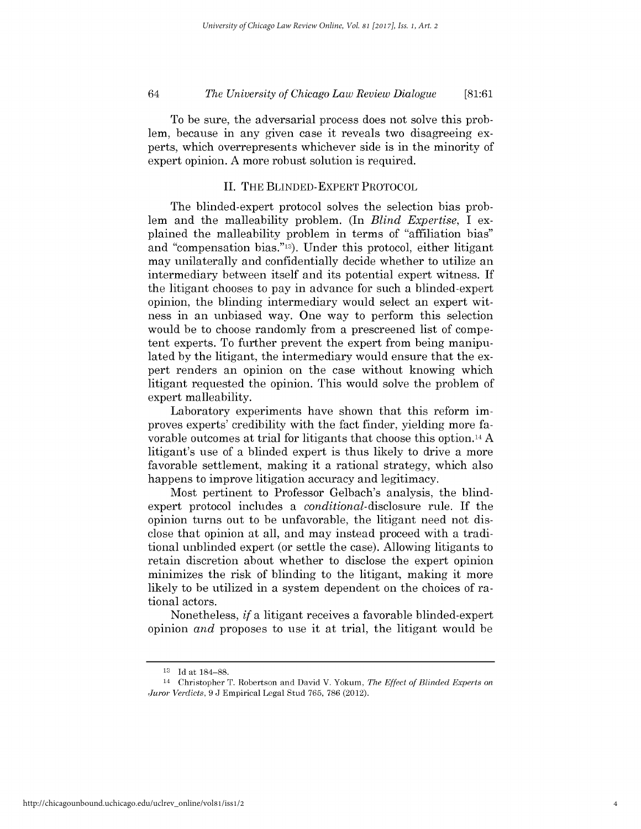*The University of Chicago Law Review Dialogue* 64 **[81:61**

To be sure, the adversarial process does not solve this problem, because in any given case it reveals two disagreeing experts, which overrepresents whichever side is in the minority of expert opinion. **A** more robust solution is required.

#### **II.** THE **BLINDED-EXPERT** PROTOCOL

The blinded-expert protocol solves the selection bias problem and the malleability problem. (In *Blind Expertise, I* explained the malleability problem in terms of "affiliation bias" and "compensation bias."13). Under this protocol, either litigant may unilaterally and confidentially decide whether to utilize an intermediary between itself and its potential expert witness. **If** the litigant chooses to pay in advance for such a blinded-expert opinion, the blinding intermediary would select an expert witness in an unbiased way. One way to perform this selection would be to choose randomly from a prescreened list of competent experts. To further prevent the expert from being manipulated **by** the litigant, the intermediary would ensure that the expert renders an opinion on the case without knowing which litigant requested the opinion. This would solve the problem of expert malleability.

Laboratory experiments have shown that this reform **im**proves experts' credibility with the fact finder, yielding more favorable outcomes at trial for litigants that choose this option.14 A litigant's use of a blinded expert is thus likely to drive a more favorable settlement, making it a rational strategy, which also happens to improve litigation accuracy and legitimacy.

Most pertinent to Professor Gelbach's analysis, the blindexpert protocol includes a conditional-disclosure rule. **If** the opinion turns out to be unfavorable, the litigant need not **dis**close that opinion at all, and may instead proceed with a traditional unblinded expert (or settle the case). Allowing litigants to retain discretion about whether to disclose the expert opinion minimizes the risk of blinding to the litigant, making it more likely to be utilized in a system dependent on the choices of rational actors.

Nonetheless, *if* a litigant receives a favorable blinded-expert opinion *and* proposes to use it at trial, the litigant would be

**<sup>13</sup> Id** at 184-88.

<sup>14</sup> Christopher T. Robertson and David V. Yokum, *The Effect of Blinded Experts on Juror Verdicts, 9* **J** Empirical Legal Stud **765, 786** (2012).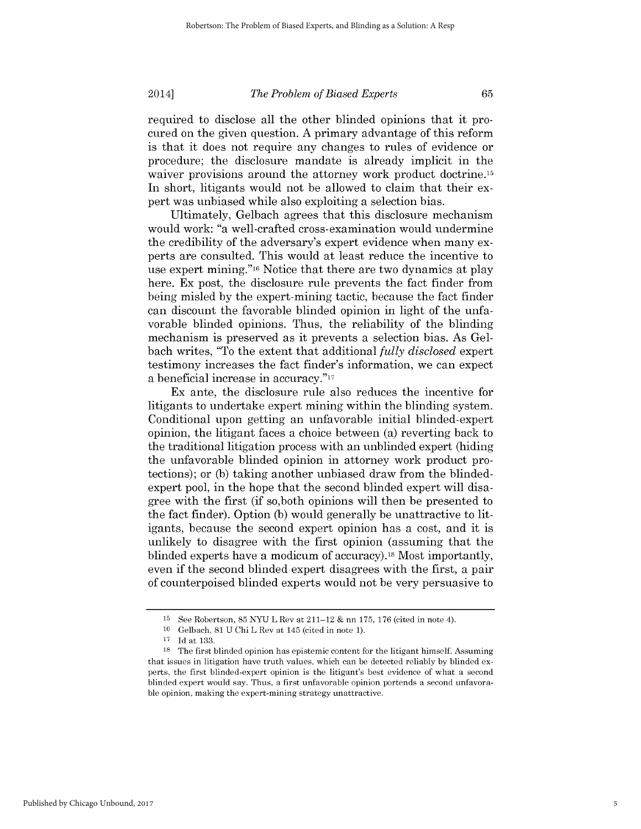required *to* disclose all the other blinded opinions that it procured on the given question. **A** primary advantage of this reform is that it does not require any changes to rules of evidence or procedure; the disclosure mandate is already implicit in the waiver provisions around the attorney work product doctrine.<sup>15</sup> In short, litigants would not be allowed to claim that their expert was unbiased while also exploiting a selection bias.

Ultimately, Gelbach agrees that this disclosure mechanism would work: "a well-crafted cross-examination would undermine the credibility of the adversary's expert evidence when many experts are consulted. This would at least reduce the incentive to use expert mining."16 Notice that there are two dynamics at play here. Ex post, the disclosure rule prevents the fact finder from being misled **by** the expert-mining tactic, because the fact finder can discount the favorable blinded opinion in light of the unfavorable blinded opinions. Thus, the reliability of the blinding mechanism is preserved as it prevents a selection bias. As Gelbach writes, "To the extent that additional *fully disclosed* expert testimony increases the fact finder's information, we can expect a beneficial increase in accuracy."<sup>17</sup>

Ex ante, the disclosure rule also reduces the incentive for litigants to undertake expert mining within the blinding system. Conditional upon getting an unfavorable initial blinded-expert opinion, the litigant faces a choice between (a) reverting back to the traditional litigation process with an unblinded expert (hiding the unfavorable blinded opinion in attorney work product protections); or **(b)** taking another unbiased draw from the blindedexpert pool, in the hope that the second blinded expert will disagree with the first **(if** so,both opinions will then be presented to the fact finder). Option **(b)** would generally be unattractive to litigants, because the second expert opinion has a cost, and it **is** unlikely to disagree with the first opinion (assuming that the blinded experts have a modicum of accuracy).18 Most importantly, even **if** the second blinded expert disagrees with the first, a pair of counterpoised blinded experts would not be very persuasive to

Published by Chicago Unbound, 2017

**<sup>15</sup>**See Robertson, **85 NYU** L Rev at 211-12 **&** nn **175, 176** (cited in note 4).

**<sup>16</sup>**Gelbach, **81 U** Chi L Rev at 145 (cited in note **1).**

**<sup>17</sup> Id** at **133.**

**<sup>18</sup>**The first blinded opinion has epistemic content for the litigant himself. Assuming that issues in litigation have truth values, which can be detected reliably **by** blinded experts, the first blinded-expert opinion is the litigant's best evidence of what a second blinded expert would say. Thus, a first unfavorable opinion portends a second unfavorable opinion, making the expert-mining strategy unattractive.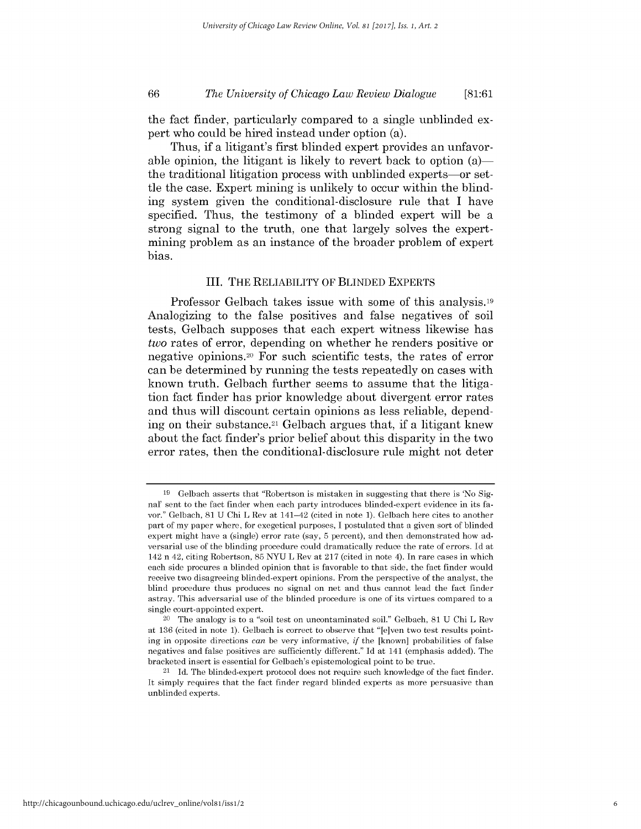## *The University of Chicago Law Review Dialogue* **66 [81:61**

the fact finder, particularly compared to a single unblinded expert who could be hired instead under option (a).

Thus, **if** a litigant's first blinded expert provides an unfavorable opinion, the litigant is likely to revert back to option  $(a)$  the traditional litigation process with unblinded experts-or settle the case. Expert mining is unlikely to occur within the blinding system given the conditional-disclosure rule that **I** have specified. Thus, the testimony of a blinded expert will be a strong signal to the truth, one that largely solves the expertmining problem as an instance of the broader problem of expert bias.

#### III. THE RELIABILITY OF BLINDED EXPERTS

Professor Gelbach takes issue with some of this analysis.<sup>19</sup> Analogizing to the false positives and false negatives of soil tests, Gelbach supposes that each expert witness likewise has *two* rates of error, depending on whether he renders positive or negative opinions.20 For such scientific tests, the rates of error can be determined **by** running the tests repeatedly on cases with known truth. Gelbach further seems to assume that the litigation fact finder has prior knowledge about divergent error rates and thus will discount certain opinions as less reliable, depending on their substance.21 Gelbach argues that, **if** a litigant knew about the fact finder's prior belief about this disparity in the two error rates, then the conditional-disclosure rule might not deter

**<sup>19</sup>** Gelbach asserts that "Robertson is mistaken in suggesting that there is 'No Signal' sent to the fact finder when each party introduces blinded-expert evidence in its favor." Gelbach, **81 U** Chi L Rev at 141-42 (cited in note **1).** Gelbach here cites **to** another part of my paper where, for exegetical purposes, **I** postulated that a given sort of blinded expert might have a (single) error rate (say, **5** percent), and then demonstrated how adversarial use of the blinding procedure could dramatically reduce the rate of errors. **Id** at 142 n 42, citing Robertson, **85 NYU** L Rev at **217** (cited in note 4). In rare cases in which each side procures a blinded opinion that is favorable to that side, the fact finder would receive two disagreeing blinded-expert opinions. From the perspective of the analyst, the blind procedure thus produces no signal on net and thus cannot lead the fact finder astray. This adversarial use of the blinded procedure is one of its virtues compared to a single court-appointed expert.

<sup>20</sup>The analogy is to a "soil test on uncontaminated soil." Gelbach, **81 U** Chi L Rev at **136** (cited in note **1).** Gelbach is correct to observe that "[e]ven two test results pointing in opposite directions can be very informative, *if* the [known] probabilities of false negatives and false positives are sufficiently different." **Id** at 141 (emphasis added). The bracketed insert is essential for Gelbach's epistemological point to be true.

<sup>21</sup>**Id.** The blinded-expert protocol does not require such knowledge of the fact finder. It simply requires that the fact finder regard blinded experts as more persuasive than unblinded experts.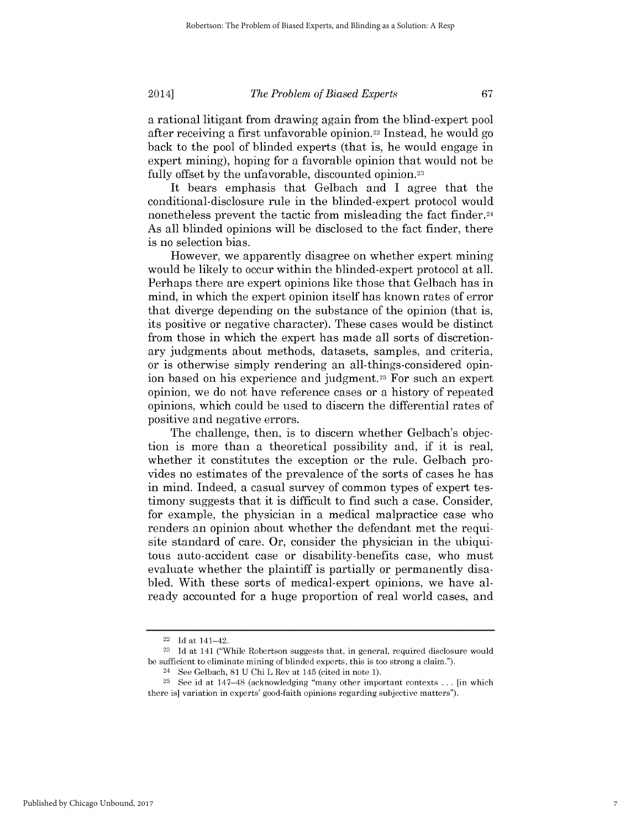a rational litigant from drawing again from the blind-expert pool after receiving a first unfavorable opinion.22 Instead, he would go back to the pool of blinded experts (that is, he would engage in expert mining), hoping for a favorable opinion that would not be fully offset **by** the unfavorable, discounted opinion.23

It bears emphasis that Gelbach and **I** agree that the conditional-disclosure rule in the blinded-expert protocol would nonetheless prevent the tactic from misleading the fact finder.24 As all blinded opinions will be disclosed to the fact finder, there is no selection bias.

However, we apparently disagree on whether expert mining would be likely to occur within the blinded-expert protocol at all. Perhaps there are expert opinions like those that Gelbach has in mind, in which the expert opinion itself has known rates of error that diverge depending on the substance of the opinion (that **is,** its positive or negative character). These cases would be distinct from those in which the expert has made all sorts of discretionary judgments about methods, datasets, samples, and criteria, or is otherwise simply rendering an all-things-considered opinion based on his experience and judgment.25 For such an expert opinion, we do not have reference cases or a history of repeated opinions, which could be used to discern the differential rates of positive and negative errors.

The challenge, then, is to discern whether Gelbach's objection is more than a theoretical possibility and, **if** it is real, whether it constitutes the exception or the rule. Gelbach provides no estimates of the prevalence of the sorts of cases he has in mind. Indeed, a casual survey of common types of expert testimony suggests that it is difficult to find such a case. Consider, for example, the physician in a medical malpractice case who renders an opinion about whether the defendant met the requisite standard of care. Or, consider the physician in the ubiquitous auto-accident case or disability-benefits case, who must evaluate whether the plaintiff is partially or permanently disabled. With these sorts of medical-expert opinions, we have already accounted for a huge proportion of real world cases, and

<sup>22</sup>**Id** at 141-42.

**<sup>23</sup>Id** at 141 ("While Robertson suggests that, in general, required disclosure would be sufficient to eliminate mining of blinded experts, this is too strong a claim.").

<sup>24</sup>See Gelbach, **81 U** Chi L Rev at 145 (cited in note **1).**

**<sup>25</sup>**See id at 147-48 (acknowledging "many other important contexts **...** [in which there is] variation in experts' good-faith opinions regarding subjective matters").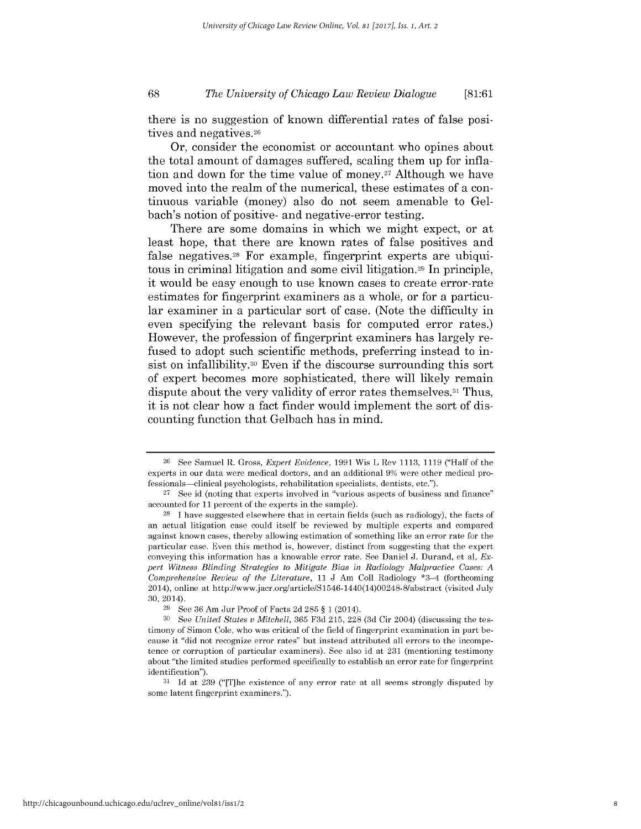## *The University of Chicago Law Review Dialogue* **68 [81:61**

there is no suggestion of known differential rates of false positives and negatives. <sup>26</sup>

Or, consider the economist or accountant who opines about the total amount of damages suffered, scaling them up for inflation and down for the time value of money.<sup>27</sup> Although we have moved into the realm of the numerical, these estimates of a continuous variable (money) also do not seem amenable to Gelbach's notion of positive- and negative-error testing.

There are some domains in which we might expect, or at least hope, that there are known rates of false positives and false negatives.28 For example, fingerprint experts are ubiquitous in criminal litigation and some civil litigation.29 In principle, it would be easy enough to use known cases to create error-rate estimates for fingerprint examiners as a whole, or for a particular examiner in a particular sort of case. (Note the difficulty in even specifying the relevant basis for computed error rates.) However, the profession of fingerprint examiners has largely refused to adopt such scientific methods, preferring instead to insist on infallibility.30 Even **if** the discourse surrounding this sort of expert becomes more sophisticated, there will likely remain dispute about the very validity of error rates themselves.<sup>31</sup> Thus, it is not clear how a fact finder would implement the sort of **dis**counting function that Gelbach has in mind.

**<sup>26</sup>**See Samuel R. Gross, *Expert Evidence,* **1991** Wis L Rev **1113, 1119** ("Half of the experts in our data were medical doctors, and an additional **9%** were other medical professionals-clinical psychologists, rehabilitation specialists, dentists, etc.").

**<sup>27</sup>**See id (noting that experts involved in "various aspects of business and finance" accounted for **11** percent of the experts in the sample).

**<sup>28</sup>**I have suggested elsewhere that in certain fields (such as radiology), the facts of an actual litigation case could itself be reviewed **by** multiple experts and compared against known cases, thereby allowing estimation of something like an error rate for the particular case. Even this method is, however, distinct from suggesting that the expert conveying this information has a knowable error rate. See Daniel **J.** Durand, et al, *Expert Witness Blinding Strategies to Mitigate Bias in Radiology Malpractice Cases: A Comprehensive Review of the Literature, 11* **J** Am Coll Radiology \*3-4 (forthcoming 2014), online at http://www.jacr.org/article/S1546-1440(14)00248-8/abstract (visited July 30, 2014).

**<sup>29</sup>**See **36** Am Jur Proof of Facts **2d 285** *§1* (2014).

**<sup>30</sup>** See *United States v Mitchell,* **365 F3d 215,** 228 **(3d** Cir 2004) (discussing the testimony of Simon Cole, who was critical of the field of fingerprint examination in part because it "did not recognize error rates" but instead attributed all errors to the incompetence or corruption of particular examiners). See also id at **231** (mentioning testimony about "the limited studies performed specifically to establish an error rate for fingerprint identification").

**<sup>31</sup> Id** at **239** ("[T]he existence of any error rate at all seems strongly disputed **by** some latent fingerprint examiners.").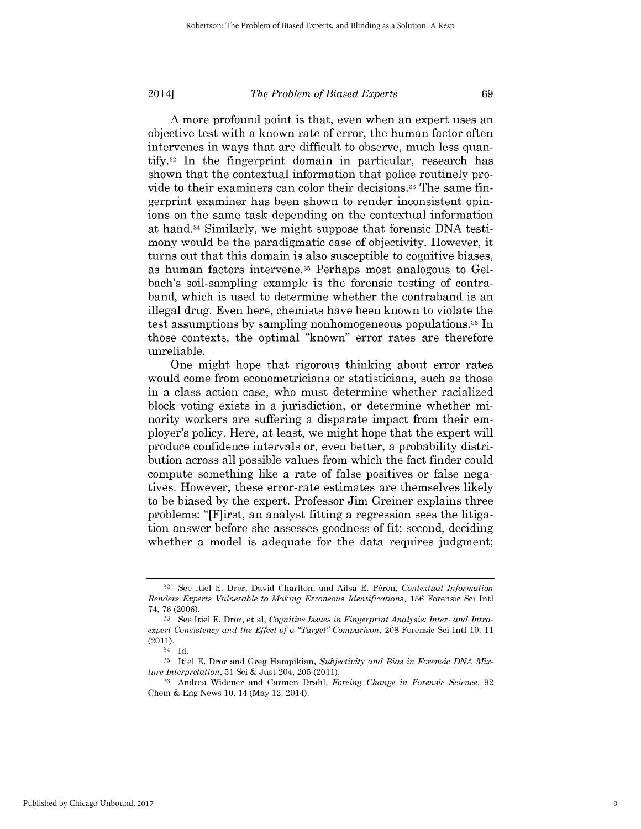**A** more profound point is that, even when an expert uses an objective test with a known rate of error, the human factor often intervenes in ways that are difficult to observe, much less quan**tify.32** In the fingerprint domain in particular, research has shown that the contextual information that police routinely provide to their examiners can color their decisions.33 The same fingerprint examiner has been shown to render inconsistent opinions on the same task depending on the contextual information at hand.34 Similarly, we might suppose that forensic **DNA** testimony would be the paradigmatic case of objectivity. However, it turns out that this domain is also susceptible to cognitive biases, as human factors intervene.35 Perhaps most analogous to Gelbach's soil-sampling example is the forensic testing of contraband, which is used to determine whether the contraband is an illegal drug. Even here, chemists have been known to violate the test assumptions **by** sampling nonhomogeneous populations.36 In those contexts, the optimal "known" error rates are therefore unreliable.

One might hope that rigorous thinking about error rates would come from econometricians or statisticians, such as those in a class action case, who must determine whether racialized block voting exists in a jurisdiction, or determine whether minority workers are suffering a disparate impact from their employer's policy. Here, at least, we might hope that the expert will produce confidence intervals or, even better, a probability distribution across all possible values from which the fact finder could compute something like a rate of false positives or false negatives. However, these error-rate estimates are themselves likely to be biased **by** the expert. Professor Jim Greiner explains three problems: "[F]irst, an analyst fitting a regression sees the litigation answer before she assesses goodness of fit; second, deciding whether a model is adequate for the data requires judgment;

**<sup>32</sup>**See Itiel **E.** Dror, David Charlton, and Ailsa **E.** P6ron, *Contextual Information Renders Experts Vulnerable to Making Erroneous Identifications,* **156** Forensic Sci Intl 74, **76 (2006).**

**<sup>33</sup>** See Itiel **E.** Dror, et al, *Cognitive Issues in Fingerprint Analysis: Inter- and Intraexpert Consistency and the Effect of a "Target" Comparison,* 208 Forensic Sci Intl **10, 11** (2011).

<sup>34</sup> **Id.**

**<sup>35</sup>** Itiel **E.** Dror and Greg Hampikian, *Subjectivity and Bias in Forensic DNA Mixture Interpretation,* **51** Sci **&** Just 204, **205** (2011).

**<sup>36</sup>**Andrea Widener and Carmen Drahl, *Forcing Change in Forensic Science, 92* Chem **&** Eng News **10,** 14 (May 12, 2014).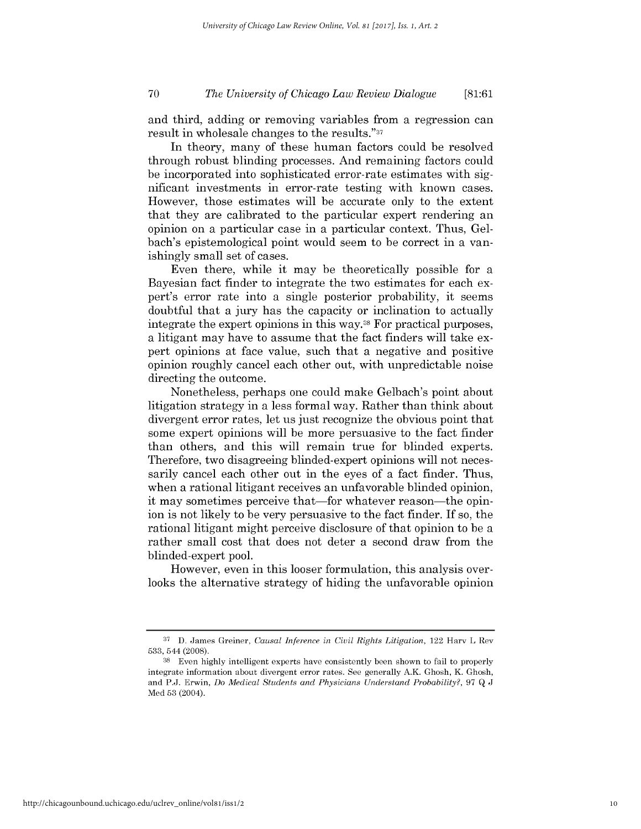## *The University of Chicago Law Review Dialogue* **70 [81:61**

and third, adding or removing variables from a regression can result in wholesale changes to the results."37

In theory, many of these human factors could be resolved through robust blinding processes. And remaining factors could be incorporated into sophisticated error-rate estimates with significant investments in error-rate testing with known cases. However, those estimates will be accurate only to the extent that they are calibrated to the particular expert rendering an opinion on a particular case in a particular context. Thus, Gelbach's epistemological point would seem to be correct in a vanishingly small set of cases.

Even there, while it may be theoretically possible for a Bayesian fact finder to integrate the two estimates for each expert's error rate into a single posterior probability, it seems doubtful that a jury has the capacity or inclination to actually integrate the expert opinions in this way.38 For practical purposes, a litigant may have to assume that the fact finders will take expert opinions at face value, such that a negative and positive opinion roughly cancel each other out, with unpredictable noise directing the outcome.

Nonetheless, perhaps one could make Gelbach's point about litigation strategy in a less formal way. Rather than think about divergent error rates, let us just recognize the obvious point that some expert opinions will be more persuasive to the fact finder than others, and this will remain true for blinded experts. Therefore, two disagreeing blinded-expert opinions will not necessarily cancel each other out in the eyes of a fact finder. Thus, when a rational litigant receives an unfavorable blinded opinion, it may sometimes perceive that—for whatever reason—the opinion is not likely to be very persuasive to the fact finder. **If** so, the rational litigant might perceive disclosure of that opinion to be a rather small cost that does not deter a second draw from the blinded-expert pool.

However, even in this looser formulation, this analysis overlooks the alternative strategy of hiding the unfavorable opinion

**<sup>37</sup> D.** James Greiner, Causal Inference *in Civil Rights Litigation,* 122 Harv L Rev **533,** 544 (2008).

**<sup>38</sup>**Even **highly** intelligent experts have consistently been shown to fail to properly integrate information about divergent error rates. See generally A.K. Ghosh, K. Ghosh, and **P.J.** Erwin, *Do Medical Students and Physicians Understand Probability?, 97* **Q J** Med **53** (2004).